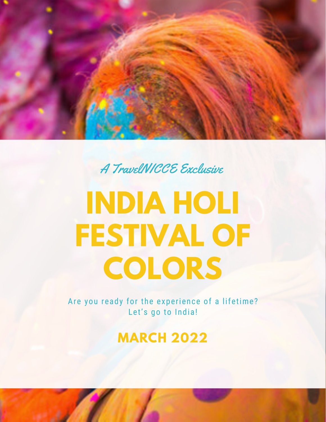

A TravelNICCE Exclusive

## **INDIA HOLI FESTIVAL OF COLORS**

Are you ready for the experience of a lifetime? Let's go to India!

**MARCH 2022**